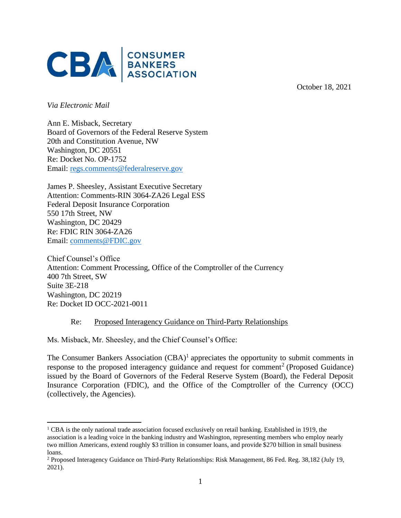

October 18, 2021

*Via Electronic Mail* 

Ann E. Misback, Secretary Board of Governors of the Federal Reserve System 20th and Constitution Avenue, NW Washington, DC 20551 Re: Docket No. OP-1752 Email: [regs.comments@federalreserve.gov](mailto:regs.comments@federalreserve.gov)

James P. Sheesley, Assistant Executive Secretary Attention: Comments-RIN 3064-ZA26 Legal ESS Federal Deposit Insurance Corporation 550 17th Street, NW Washington, DC 20429 Re: FDIC RIN 3064-ZA26 Email: [comments@FDIC.gov](mailto:comments@FDIC.gov)

Chief Counsel's Office Attention: Comment Processing, Office of the Comptroller of the Currency 400 7th Street, SW Suite 3E-218 Washington, DC 20219 Re: Docket ID OCC-2021-0011

## Re: Proposed Interagency Guidance on Third-Party Relationships

Ms. Misback, Mr. Sheesley, and the Chief Counsel's Office:

The Consumer Bankers Association  $(CBA)^1$  appreciates the opportunity to submit comments in response to the proposed interagency guidance and request for comment<sup>2</sup> (Proposed Guidance) issued by the Board of Governors of the Federal Reserve System (Board), the Federal Deposit Insurance Corporation (FDIC), and the Office of the Comptroller of the Currency (OCC) (collectively, the Agencies).

<sup>1</sup> CBA is the only national trade association focused exclusively on retail banking. Established in 1919, the association is a leading voice in the banking industry and Washington, representing members who employ nearly two million Americans, extend roughly \$3 trillion in consumer loans, and provide \$270 billion in small business loans.

<sup>2</sup> Proposed Interagency Guidance on Third-Party Relationships: Risk Management, 86 Fed. Reg. 38,182 (July 19, 2021).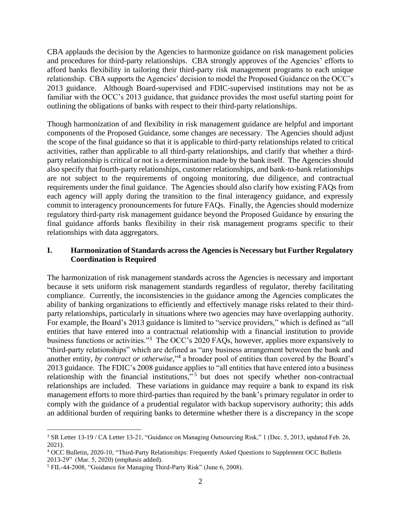CBA applauds the decision by the Agencies to harmonize guidance on risk management policies and procedures for third-party relationships. CBA strongly approves of the Agencies' efforts to afford banks flexibility in tailoring their third-party risk management programs to each unique relationship. CBA supports the Agencies' decision to model the Proposed Guidance on the OCC's 2013 guidance. Although Board-supervised and FDIC-supervised institutions may not be as familiar with the OCC's 2013 guidance, that guidance provides the most useful starting point for outlining the obligations of banks with respect to their third-party relationships.

Though harmonization of and flexibility in risk management guidance are helpful and important components of the Proposed Guidance, some changes are necessary. The Agencies should adjust the scope of the final guidance so that it is applicable to third-party relationships related to critical activities, rather than applicable to all third-party relationships, and clarify that whether a thirdparty relationship is critical or not is a determination made by the bank itself. The Agencies should also specify that fourth-party relationships, customer relationships, and bank-to-bank relationships are not subject to the requirements of ongoing monitoring, due diligence, and contractual requirements under the final guidance. The Agencies should also clarify how existing FAQs from each agency will apply during the transition to the final interagency guidance, and expressly commit to interagency pronouncements for future FAQs. Finally, the Agencies should modernize regulatory third-party risk management guidance beyond the Proposed Guidance by ensuring the final guidance affords banks flexibility in their risk management programs specific to their relationships with data aggregators.

### **I. Harmonization of Standards across the Agencies is Necessary but Further Regulatory Coordination is Required**

The harmonization of risk management standards across the Agencies is necessary and important because it sets uniform risk management standards regardless of regulator, thereby facilitating compliance. Currently, the inconsistencies in the guidance among the Agencies complicates the ability of banking organizations to efficiently and effectively manage risks related to their thirdparty relationships, particularly in situations where two agencies may have overlapping authority. For example, the Board's 2013 guidance is limited to "service providers," which is defined as "all entities that have entered into a contractual relationship with a financial institution to provide business functions or activities."<sup>3</sup> The OCC's 2020 FAQs, however, applies more expansively to "third-party relationships" which are defined as "any business arrangement between the bank and another entity, *by contract or otherwise*," 4 a broader pool of entities than covered by the Board's 2013 guidance. The FDIC's 2008 guidance applies to "all entities that have entered into a business relationship with the financial institutions,"<sup>5</sup> but does not specify whether non-contractual relationships are included. These variations in guidance may require a bank to expand its risk management efforts to more third-parties than required by the bank's primary regulator in order to comply with the guidance of a prudential regulator with backup supervisory authority; this adds an additional burden of requiring banks to determine whether there is a discrepancy in the scope

<sup>3</sup> SR Letter 13-19 / CA Letter 13-21, "Guidance on Managing Outsourcing Risk," 1 (Dec. 5, 2013, updated Feb. 26, 2021).

<sup>4</sup> OCC Bulletin, 2020-10, "Third-Party Relationships: Frequently Asked Questions to Supplement OCC Bulletin 2013-29" (Mar. 5, 2020) (emphasis added).

<sup>5</sup> FIL-44-2008, "Guidance for Managing Third-Party Risk" (June 6, 2008).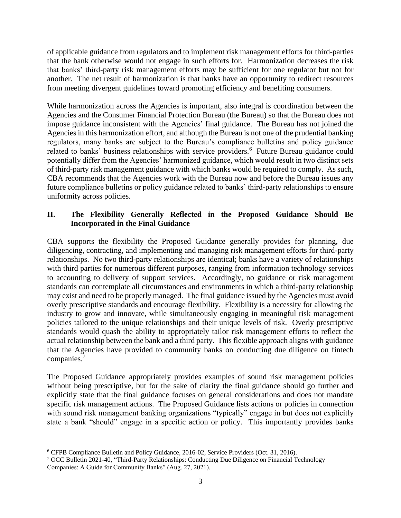of applicable guidance from regulators and to implement risk management efforts for third-parties that the bank otherwise would not engage in such efforts for. Harmonization decreases the risk that banks' third-party risk management efforts may be sufficient for one regulator but not for another. The net result of harmonization is that banks have an opportunity to redirect resources from meeting divergent guidelines toward promoting efficiency and benefiting consumers.

While harmonization across the Agencies is important, also integral is coordination between the Agencies and the Consumer Financial Protection Bureau (the Bureau) so that the Bureau does not impose guidance inconsistent with the Agencies' final guidance. The Bureau has not joined the Agencies in this harmonization effort, and although the Bureau is not one of the prudential banking regulators, many banks are subject to the Bureau's compliance bulletins and policy guidance related to banks' business relationships with service providers.<sup>6</sup> Future Bureau guidance could potentially differ from the Agencies' harmonized guidance, which would result in two distinct sets of third-party risk management guidance with which banks would be required to comply. As such, CBA recommends that the Agencies work with the Bureau now and before the Bureau issues any future compliance bulletins or policy guidance related to banks' third-party relationships to ensure uniformity across policies.

# **II. The Flexibility Generally Reflected in the Proposed Guidance Should Be Incorporated in the Final Guidance**

CBA supports the flexibility the Proposed Guidance generally provides for planning, due diligencing, contracting, and implementing and managing risk management efforts for third-party relationships. No two third-party relationships are identical; banks have a variety of relationships with third parties for numerous different purposes, ranging from information technology services to accounting to delivery of support services. Accordingly, no guidance or risk management standards can contemplate all circumstances and environments in which a third-party relationship may exist and need to be properly managed. The final guidance issued by the Agencies must avoid overly prescriptive standards and encourage flexibility. Flexibility is a necessity for allowing the industry to grow and innovate, while simultaneously engaging in meaningful risk management policies tailored to the unique relationships and their unique levels of risk. Overly prescriptive standards would quash the ability to appropriately tailor risk management efforts to reflect the actual relationship between the bank and a third party. This flexible approach aligns with guidance that the Agencies have provided to community banks on conducting due diligence on fintech companies.<sup>7</sup>

The Proposed Guidance appropriately provides examples of sound risk management policies without being prescriptive, but for the sake of clarity the final guidance should go further and explicitly state that the final guidance focuses on general considerations and does not mandate specific risk management actions. The Proposed Guidance lists actions or policies in connection with sound risk management banking organizations "typically" engage in but does not explicitly state a bank "should" engage in a specific action or policy. This importantly provides banks

<sup>6</sup> CFPB Compliance Bulletin and Policy Guidance, 2016-02, Service Providers (Oct. 31, 2016).

<sup>7</sup> OCC Bulletin 2021-40, "Third-Party Relationships: Conducting Due Diligence on Financial Technology Companies: A Guide for Community Banks" (Aug. 27, 2021).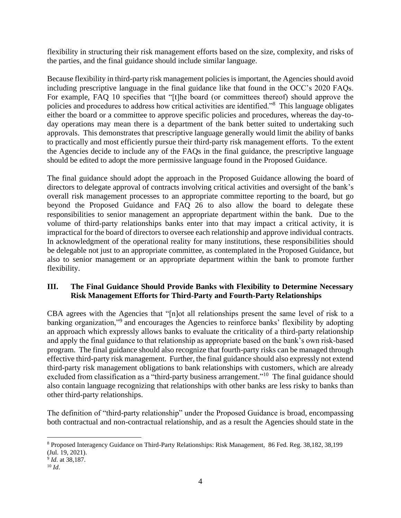flexibility in structuring their risk management efforts based on the size, complexity, and risks of the parties, and the final guidance should include similar language.

Because flexibility in third-party risk management policies is important, the Agencies should avoid including prescriptive language in the final guidance like that found in the OCC's 2020 FAQs. For example, FAQ 10 specifies that "[t]he board (or committees thereof) should approve the policies and procedures to address how critical activities are identified."<sup>8</sup> This language obligates either the board or a committee to approve specific policies and procedures, whereas the day-today operations may mean there is a department of the bank better suited to undertaking such approvals. This demonstrates that prescriptive language generally would limit the ability of banks to practically and most efficiently pursue their third-party risk management efforts. To the extent the Agencies decide to include any of the FAQs in the final guidance, the prescriptive language should be edited to adopt the more permissive language found in the Proposed Guidance.

The final guidance should adopt the approach in the Proposed Guidance allowing the board of directors to delegate approval of contracts involving critical activities and oversight of the bank's overall risk management processes to an appropriate committee reporting to the board, but go beyond the Proposed Guidance and FAQ 26 to also allow the board to delegate these responsibilities to senior management an appropriate department within the bank. Due to the volume of third-party relationships banks enter into that may impact a critical activity, it is impractical for the board of directors to oversee each relationship and approve individual contracts. In acknowledgment of the operational reality for many institutions, these responsibilities should be delegable not just to an appropriate committee, as contemplated in the Proposed Guidance, but also to senior management or an appropriate department within the bank to promote further flexibility.

# **III. The Final Guidance Should Provide Banks with Flexibility to Determine Necessary Risk Management Efforts for Third-Party and Fourth-Party Relationships**

CBA agrees with the Agencies that "[n]ot all relationships present the same level of risk to a banking organization,"<sup>9</sup> and encourages the Agencies to reinforce banks' flexibility by adopting an approach which expressly allows banks to evaluate the criticality of a third-party relationship and apply the final guidance to that relationship as appropriate based on the bank's own risk-based program. The final guidance should also recognize that fourth-party risks can be managed through effective third-party risk management. Further, the final guidance should also expressly not extend third-party risk management obligations to bank relationships with customers, which are already excluded from classification as a "third-party business arrangement."<sup>10</sup> The final guidance should also contain language recognizing that relationships with other banks are less risky to banks than other third-party relationships.

The definition of "third-party relationship" under the Proposed Guidance is broad, encompassing both contractual and non-contractual relationship, and as a result the Agencies should state in the

<sup>8</sup> Proposed Interagency Guidance on Third-Party Relationships: Risk Management, 86 Fed. Reg. 38,182, 38,199 (Jul. 19, 2021).

<sup>9</sup> *Id*. at 38,187.

<sup>10</sup> *Id*.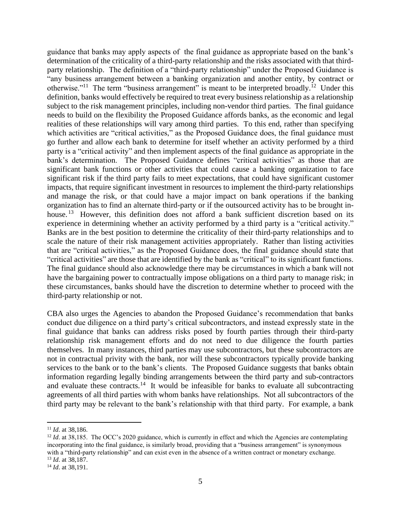guidance that banks may apply aspects of the final guidance as appropriate based on the bank's determination of the criticality of a third-party relationship and the risks associated with that thirdparty relationship. The definition of a "third-party relationship" under the Proposed Guidance is "any business arrangement between a banking organization and another entity, by contract or otherwise."<sup>11</sup> The term "business arrangement" is meant to be interpreted broadly.<sup>12</sup> Under this definition, banks would effectively be required to treat every business relationship as a relationship subject to the risk management principles, including non-vendor third parties. The final guidance needs to build on the flexibility the Proposed Guidance affords banks, as the economic and legal realities of these relationships will vary among third parties. To this end, rather than specifying which activities are "critical activities," as the Proposed Guidance does, the final guidance must go further and allow each bank to determine for itself whether an activity performed by a third party is a "critical activity" and then implement aspects of the final guidance as appropriate in the bank's determination. The Proposed Guidance defines "critical activities" as those that are significant bank functions or other activities that could cause a banking organization to face significant risk if the third party fails to meet expectations, that could have significant customer impacts, that require significant investment in resources to implement the third-party relationships and manage the risk, or that could have a major impact on bank operations if the banking organization has to find an alternate third-party or if the outsourced activity has to be brought inhouse.<sup>13</sup> However, this definition does not afford a bank sufficient discretion based on its experience in determining whether an activity performed by a third party is a "critical activity." Banks are in the best position to determine the criticality of their third-party relationships and to scale the nature of their risk management activities appropriately. Rather than listing activities that are "critical activities," as the Proposed Guidance does, the final guidance should state that "critical activities" are those that are identified by the bank as "critical" to its significant functions. The final guidance should also acknowledge there may be circumstances in which a bank will not have the bargaining power to contractually impose obligations on a third party to manage risk; in these circumstances, banks should have the discretion to determine whether to proceed with the third-party relationship or not.

CBA also urges the Agencies to abandon the Proposed Guidance's recommendation that banks conduct due diligence on a third party's critical subcontractors, and instead expressly state in the final guidance that banks can address risks posed by fourth parties through their third-party relationship risk management efforts and do not need to due diligence the fourth parties themselves. In many instances, third parties may use subcontractors, but these subcontractors are not in contractual privity with the bank, nor will these subcontractors typically provide banking services to the bank or to the bank's clients. The Proposed Guidance suggests that banks obtain information regarding legally binding arrangements between the third party and sub-contractors and evaluate these contracts.<sup>14</sup> It would be infeasible for banks to evaluate all subcontracting agreements of all third parties with whom banks have relationships. Not all subcontractors of the third party may be relevant to the bank's relationship with that third party. For example, a bank

<sup>11</sup> *Id*. at 38,186.

<sup>&</sup>lt;sup>12</sup> *Id.* at 38,185. The OCC's 2020 guidance, which is currently in effect and which the Agencies are contemplating incorporating into the final guidance, is similarly broad, providing that a "business arrangement" is synonymous with a "third-party relationship" and can exist even in the absence of a written contract or monetary exchange. <sup>13</sup> *Id*. at 38,187.

<sup>14</sup> *Id*. at 38,191.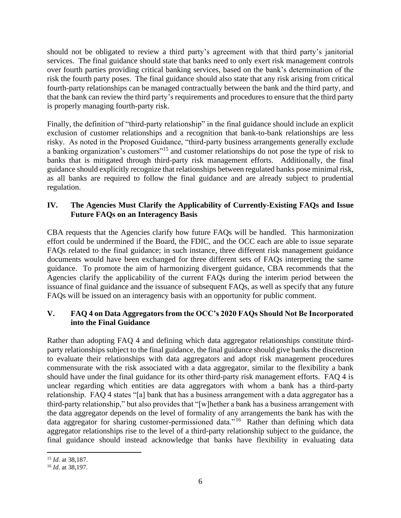should not be obligated to review a third party's agreement with that third party's janitorial services. The final guidance should state that banks need to only exert risk management controls over fourth parties providing critical banking services, based on the bank's determination of the risk the fourth party poses. The final guidance should also state that any risk arising from critical fourth-party relationships can be managed contractually between the bank and the third party, and that the bank can review the third party's requirements and procedures to ensure that the third party is properly managing fourth-party risk.

Finally, the definition of "third-party relationship" in the final guidance should include an explicit exclusion of customer relationships and a recognition that bank-to-bank relationships are less risky. As noted in the Proposed Guidance, "third-party business arrangements generally exclude a banking organization's customers"<sup>15</sup> and customer relationships do not pose the type of risk to banks that is mitigated through third-party risk management efforts. Additionally, the final guidance should explicitly recognize that relationships between regulated banks pose minimal risk, as all banks are required to follow the final guidance and are already subject to prudential regulation.

## **IV. The Agencies Must Clarify the Applicability of Currently-Existing FAQs and Issue Future FAQs on an Interagency Basis**

CBA requests that the Agencies clarify how future FAQs will be handled. This harmonization effort could be undermined if the Board, the FDIC, and the OCC each are able to issue separate FAQs related to the final guidance; in such instance, three different risk management guidance documents would have been exchanged for three different sets of FAQs interpreting the same guidance. To promote the aim of harmonizing divergent guidance, CBA recommends that the Agencies clarify the applicability of the current FAQs during the interim period between the issuance of final guidance and the issuance of subsequent FAQs, as well as specify that any future FAQs will be issued on an interagency basis with an opportunity for public comment.

## **V. FAQ 4 on Data Aggregators from the OCC's 2020 FAQs Should Not Be Incorporated into the Final Guidance**

Rather than adopting FAQ 4 and defining which data aggregator relationships constitute thirdparty relationships subject to the final guidance, the final guidance should give banks the discretion to evaluate their relationships with data aggregators and adopt risk management procedures commensurate with the risk associated with a data aggregator, similar to the flexibility a bank should have under the final guidance for its other third-party risk management efforts. FAQ 4 is unclear regarding which entities are data aggregators with whom a bank has a third-party relationship. FAQ 4 states "[a] bank that has a business arrangement with a data aggregator has a third-party relationship," but also provides that "[w]hether a bank has a business arrangement with the data aggregator depends on the level of formality of any arrangements the bank has with the data aggregator for sharing customer-permissioned data."<sup>16</sup> Rather than defining which data aggregator relationships rise to the level of a third-party relationship subject to the guidance, the final guidance should instead acknowledge that banks have flexibility in evaluating data

<sup>15</sup> *Id*. at 38,187.

<sup>16</sup> *Id*. at 38,197.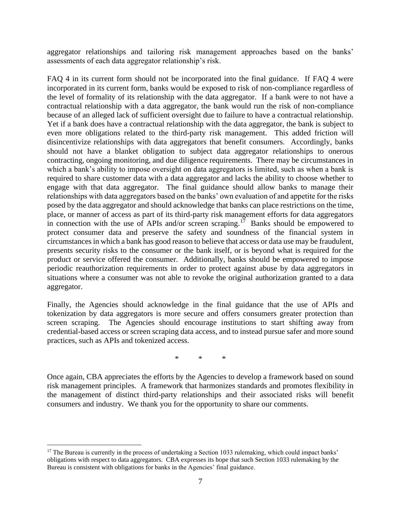aggregator relationships and tailoring risk management approaches based on the banks' assessments of each data aggregator relationship's risk.

FAQ 4 in its current form should not be incorporated into the final guidance. If FAQ 4 were incorporated in its current form, banks would be exposed to risk of non-compliance regardless of the level of formality of its relationship with the data aggregator. If a bank were to not have a contractual relationship with a data aggregator, the bank would run the risk of non-compliance because of an alleged lack of sufficient oversight due to failure to have a contractual relationship. Yet if a bank does have a contractual relationship with the data aggregator, the bank is subject to even more obligations related to the third-party risk management. This added friction will disincentivize relationships with data aggregators that benefit consumers. Accordingly, banks should not have a blanket obligation to subject data aggregator relationships to onerous contracting, ongoing monitoring, and due diligence requirements. There may be circumstances in which a bank's ability to impose oversight on data aggregators is limited, such as when a bank is required to share customer data with a data aggregator and lacks the ability to choose whether to engage with that data aggregator. The final guidance should allow banks to manage their relationships with data aggregators based on the banks' own evaluation of and appetite for the risks posed by the data aggregator and should acknowledge that banks can place restrictions on the time, place, or manner of access as part of its third-party risk management efforts for data aggregators in connection with the use of APIs and/or screen scraping.<sup>17</sup> Banks should be empowered to protect consumer data and preserve the safety and soundness of the financial system in circumstances in which a bank has good reason to believe that access or data use may be fraudulent, presents security risks to the consumer or the bank itself, or is beyond what is required for the product or service offered the consumer. Additionally, banks should be empowered to impose periodic reauthorization requirements in order to protect against abuse by data aggregators in situations where a consumer was not able to revoke the original authorization granted to a data aggregator.

Finally, the Agencies should acknowledge in the final guidance that the use of APIs and tokenization by data aggregators is more secure and offers consumers greater protection than screen scraping. The Agencies should encourage institutions to start shifting away from credential-based access or screen scraping data access, and to instead pursue safer and more sound practices, such as APIs and tokenized access.

\* \* \*

Once again, CBA appreciates the efforts by the Agencies to develop a framework based on sound risk management principles. A framework that harmonizes standards and promotes flexibility in the management of distinct third-party relationships and their associated risks will benefit consumers and industry. We thank you for the opportunity to share our comments.

<sup>&</sup>lt;sup>17</sup> The Bureau is currently in the process of undertaking a Section 1033 rulemaking, which could impact banks' obligations with respect to data aggregators. CBA expresses its hope that such Section 1033 rulemaking by the Bureau is consistent with obligations for banks in the Agencies' final guidance.